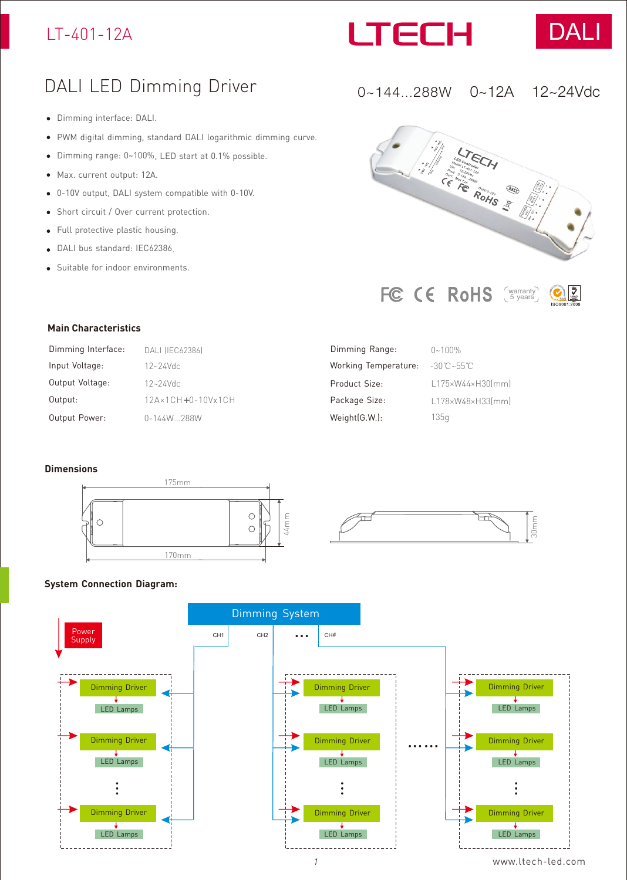### LT-401-12A





### 0~144...288W 0~12A 12~24Vdc

## DALI LED Dimming Driver

- Dimming interface: DALI.
- PWM digital dimming, standard DALI logarithmic dimming curve.  $\bullet$
- Dimming range: 0~100%, LED start at 0.1% possible.  $\bullet$
- Max. current output: 12A.  $\bullet$
- 0-10V output, DALI system compatible with 0-10V.  $\bullet$
- Short circuit / Over current protection.  $\bullet$
- Full protective plastic housing.
- DALI bus standard: IEC62386.  $\bullet$
- Suitable for indoor environments.



warranty 5 years



#### **Main Characteristics**

| Dimming Interface: | DALI (IEC62386)   | Dimming Range:       | $0 - 100\%$      |
|--------------------|-------------------|----------------------|------------------|
| Input Voltage:     | 12~24Vdc          | Working Temperature: | -30°C~55°C       |
| Output Voltage:    | $12 - 24$ Vdc     | Product Size:        | L175×W44×H30(mm) |
| Output:            | 12A×1CH+0-10Vx1CH | Package Size:        | L178×W48×H33(mm) |
| Output Power:      | 0-144W288W        | Weight(G.W.):        | 135q             |

#### **Dimensions**





#### **System Connection Diagram:**